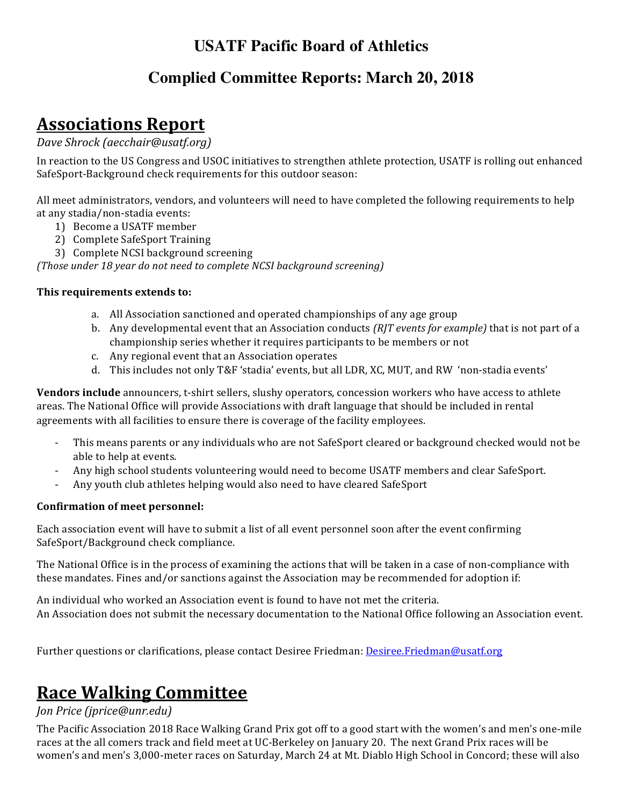## **USATF Pacific Board of Athletics**

### **Complied Committee Reports: March 20, 2018**

# **Associations Report**

*Dave Shrock (aecchair@usatf.org)*

In reaction to the US Congress and USOC initiatives to strengthen athlete protection, USATF is rolling out enhanced SafeSport-Background check requirements for this outdoor season:

All meet administrators, vendors, and volunteers will need to have completed the following requirements to help at any stadia/non-stadia events:

- 1) Become a USATF member
- 2) Complete SafeSport Training
- 3) Complete NCSI background screening

*(Those under 18 year do not need to complete NCSI background screening)* 

#### This requirements extends to:

- a. All Association sanctioned and operated championships of any age group
- b. Any developmental event that an Association conducts (RJT events for example) that is not part of a championship series whether it requires participants to be members or not
- c. Any regional event that an Association operates
- d. This includes not only T&F 'stadia' events, but all LDR, XC, MUT, and RW 'non-stadia events'

**Vendors include** announcers, t-shirt sellers, slushy operators, concession workers who have access to athlete areas. The National Office will provide Associations with draft language that should be included in rental agreements with all facilities to ensure there is coverage of the facility employees.

- This means parents or any individuals who are not SafeSport cleared or background checked would not be able to help at events.
- Any high school students volunteering would need to become USATF members and clear SafeSport.
- Any youth club athletes helping would also need to have cleared SafeSport

#### **Confirmation of meet personnel:**

Each association event will have to submit a list of all event personnel soon after the event confirming SafeSport/Background check compliance.

The National Office is in the process of examining the actions that will be taken in a case of non-compliance with these mandates. Fines and/or sanctions against the Association may be recommended for adoption if:

An individual who worked an Association event is found to have not met the criteria. An Association does not submit the necessary documentation to the National Office following an Association event.

Further questions or clarifications, please contact Desiree Friedman: Desiree.Friedman@usatf.org

## **Race Walking Committee**

#### *Jon Price (jprice@unr.edu)*

The Pacific Association 2018 Race Walking Grand Prix got off to a good start with the women's and men's one-mile races at the all comers track and field meet at UC-Berkeley on January 20. The next Grand Prix races will be women's and men's 3,000-meter races on Saturday, March 24 at Mt. Diablo High School in Concord; these will also